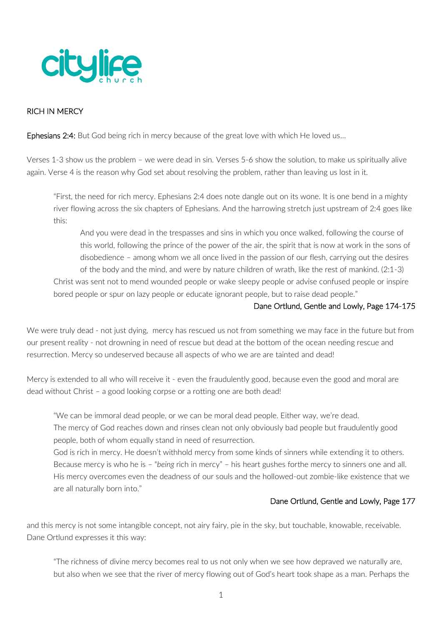

## RICH IN MERCY

**Ephesians 2:4:** But God being rich in mercy because of the great love with which He loved us...

Verses 1-3 show us the problem – we were dead in sin. Verses 5-6 show the solution, to make us spiritually alive again. Verse 4 is the reason why God set about resolving the problem, rather than leaving us lost in it.

"First, the need for rich mercy. Ephesians 2:4 does note dangle out on its wone. It is one bend in a mighty river flowing across the six chapters of Ephesians. And the harrowing stretch just upstream of 2:4 goes like this:

And you were dead in the trespasses and sins in which you once walked, following the course of this world, following the prince of the power of the air, the spirit that is now at work in the sons of disobedience – among whom we all once lived in the passion of our flesh, carrying out the desires of the body and the mind, and were by nature children of wrath, like the rest of mankind. (2:1-3) Christ was sent not to mend wounded people or wake sleepy people or advise confused people or inspire bored people or spur on lazy people or educate ignorant people, but to raise dead people."

#### Dane Ortlund, Gentle and Lowly, Page 174-175

We were truly dead - not just dying, mercy has rescued us not from something we may face in the future but from our present reality - not drowning in need of rescue but dead at the bottom of the ocean needing rescue and resurrection. Mercy so undeserved because all aspects of who we are are tainted and dead!

Mercy is extended to all who will receive it - even the fraudulently good, because even the good and moral are dead without Christ – a good looking corpse or a rotting one are both dead!

"We can be immoral dead people, or we can be moral dead people. Either way, we're dead.

The mercy of God reaches down and rinses clean not only obviously bad people but fraudulently good people, both of whom equally stand in need of resurrection.

God is rich in mercy. He doesn't withhold mercy from some kinds of sinners while extending it to others. Because mercy is who he is – "*being* rich in mercy" – his heart gushes forthe mercy to sinners one and all. His mercy overcomes even the deadness of our souls and the hollowed-out zombie-like existence that we are all naturally born into."

#### Dane Ortlund, Gentle and Lowly, Page 177

and this mercy is not some intangible concept, not airy fairy, pie in the sky, but touchable, knowable, receivable. Dane Ortlund expresses it this way:

"The richness of divine mercy becomes real to us not only when we see how depraved we naturally are, but also when we see that the river of mercy flowing out of God's heart took shape as a man. Perhaps the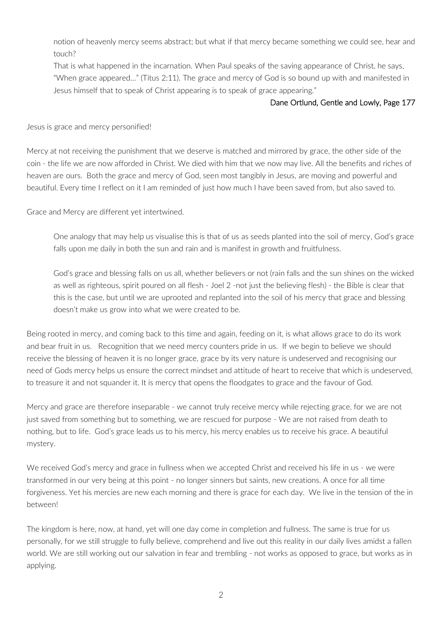notion of heavenly mercy seems abstract; but what if that mercy became something we could see, hear and touch?

That is what happened in the incarnation. When Paul speaks of the saving appearance of Christ, he says, "When grace appeared…" (Titus 2:11). The grace and mercy of God is so bound up with and manifested in Jesus himself that to speak of Christ appearing is to speak of grace appearing."

## Dane Ortlund, Gentle and Lowly, Page 177

Jesus is grace and mercy personified!

Mercy at not receiving the punishment that we deserve is matched and mirrored by grace, the other side of the coin - the life we are now afforded in Christ. We died with him that we now may live. All the benefits and riches of heaven are ours. Both the grace and mercy of God, seen most tangibly in Jesus, are moving and powerful and beautiful. Every time I reflect on it I am reminded of just how much I have been saved from, but also saved to.

Grace and Mercy are different yet intertwined.

One analogy that may help us visualise this is that of us as seeds planted into the soil of mercy, God's grace falls upon me daily in both the sun and rain and is manifest in growth and fruitfulness.

God's grace and blessing falls on us all, whether believers or not (rain falls and the sun shines on the wicked as well as righteous, spirit poured on all flesh - Joel 2 -not just the believing flesh) - the Bible is clear that this is the case, but until we are uprooted and replanted into the soil of his mercy that grace and blessing doesn't make us grow into what we were created to be.

Being rooted in mercy, and coming back to this time and again, feeding on it, is what allows grace to do its work and bear fruit in us. Recognition that we need mercy counters pride in us. If we begin to believe we should receive the blessing of heaven it is no longer grace, grace by its very nature is undeserved and recognising our need of Gods mercy helps us ensure the correct mindset and attitude of heart to receive that which is undeserved, to treasure it and not squander it. It is mercy that opens the floodgates to grace and the favour of God.

Mercy and grace are therefore inseparable - we cannot truly receive mercy while rejecting grace, for we are not just saved from something but to something, we are rescued for purpose - We are not raised from death to nothing, but to life. God's grace leads us to his mercy, his mercy enables us to receive his grace. A beautiful mystery.

We received God's mercy and grace in fullness when we accepted Christ and received his life in us - we were transformed in our very being at this point - no longer sinners but saints, new creations. A once for all time forgiveness. Yet his mercies are new each morning and there is grace for each day. We live in the tension of the in between!

The kingdom is here, now, at hand, yet will one day come in completion and fullness. The same is true for us personally, for we still struggle to fully believe, comprehend and live out this reality in our daily lives amidst a fallen world. We are still working out our salvation in fear and trembling - not works as opposed to grace, but works as in applying.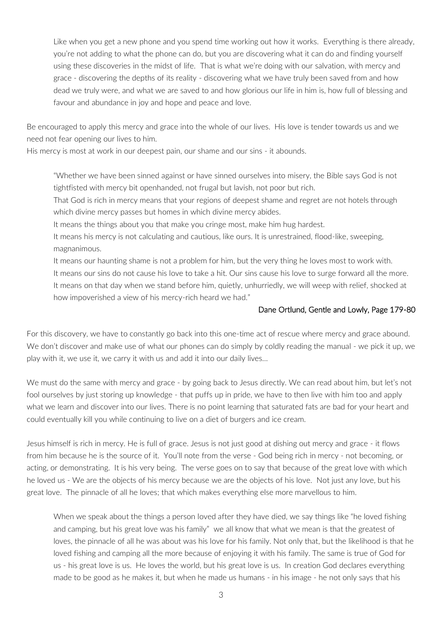Like when you get a new phone and you spend time working out how it works. Everything is there already, you're not adding to what the phone can do, but you are discovering what it can do and finding yourself using these discoveries in the midst of life. That is what we're doing with our salvation, with mercy and grace - discovering the depths of its reality - discovering what we have truly been saved from and how dead we truly were, and what we are saved to and how glorious our life in him is, how full of blessing and favour and abundance in joy and hope and peace and love.

Be encouraged to apply this mercy and grace into the whole of our lives. His love is tender towards us and we need not fear opening our lives to him.

His mercy is most at work in our deepest pain, our shame and our sins - it abounds.

"Whether we have been sinned against or have sinned ourselves into misery, the Bible says God is not tightfisted with mercy bit openhanded, not frugal but lavish, not poor but rich.

That God is rich in mercy means that your regions of deepest shame and regret are not hotels through which divine mercy passes but homes in which divine mercy abides.

It means the things about you that make you cringe most, make him hug hardest.

It means his mercy is not calculating and cautious, like ours. It is unrestrained, flood-like, sweeping, magnanimous.

It means our haunting shame is not a problem for him, but the very thing he loves most to work with. It means our sins do not cause his love to take a hit. Our sins cause his love to surge forward all the more. It means on that day when we stand before him, quietly, unhurriedly, we will weep with relief, shocked at how impoverished a view of his mercy-rich heard we had."

#### Dane Ortlund, Gentle and Lowly, Page 179-80

For this discovery, we have to constantly go back into this one-time act of rescue where mercy and grace abound. We don't discover and make use of what our phones can do simply by coldly reading the manual - we pick it up, we play with it, we use it, we carry it with us and add it into our daily lives…

We must do the same with mercy and grace - by going back to Jesus directly. We can read about him, but let's not fool ourselves by just storing up knowledge - that puffs up in pride, we have to then live with him too and apply what we learn and discover into our lives. There is no point learning that saturated fats are bad for your heart and could eventually kill you while continuing to live on a diet of burgers and ice cream.

Jesus himself is rich in mercy. He is full of grace. Jesus is not just good at dishing out mercy and grace - it flows from him because he is the source of it. You'll note from the verse - God being rich in mercy - not becoming, or acting, or demonstrating. It is his very being. The verse goes on to say that because of the great love with which he loved us - We are the objects of his mercy because we are the objects of his love. Not just any love, but his great love. The pinnacle of all he loves; that which makes everything else more marvellous to him.

When we speak about the things a person loved after they have died, we say things like "he loved fishing and camping, but his great love was his family" we all know that what we mean is that the greatest of loves, the pinnacle of all he was about was his love for his family. Not only that, but the likelihood is that he loved fishing and camping all the more because of enjoying it with his family. The same is true of God for us - his great love is us. He loves the world, but his great love is us. In creation God declares everything made to be good as he makes it, but when he made us humans - in his image - he not only says that his